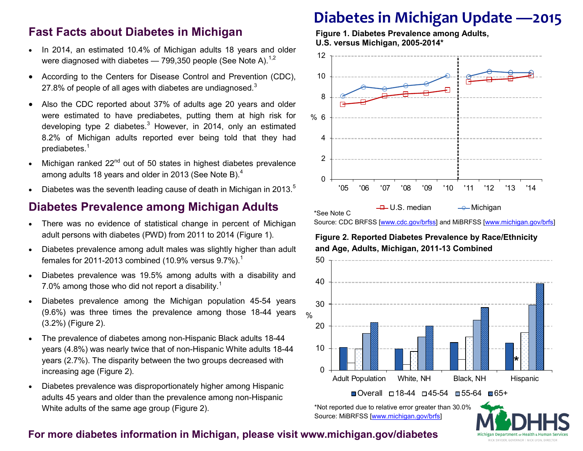## **Fast Facts about Diabetes in Michigan**

- In 2014, an estimated 10.4% of Michigan adults 18 years and older were diagnosed with diabetes  $-799,350$  people (See Note A).<sup>1,2</sup>
- According to the Centers for Disease Control and Prevention (CDC), 27.8% of people of all ages with diabetes are undiagnosed. $3$
- Also the CDC reported about 37% of adults age 20 years and older were estimated to have prediabetes, putting them at high risk for developing type 2 diabetes. $3$  However, in 2014, only an estimated 8.2% of Michigan adults reported ever being told that they had prediabetes.<sup>1</sup>
- Michigan ranked 22<sup>nd</sup> out of 50 states in highest diabetes prevalence among adults 18 years and older in 2013 (See Note B).<sup>4</sup>
- Diabetes was the seventh leading cause of death in Michigan in 2013.<sup>5</sup>

### **Diabetes Prevalence among Michigan Adults**

- There was no evidence of statistical change in percent of Michigan adult persons with diabetes (PWD) from 2011 to 2014 (Figure 1).
- Diabetes prevalence among adult males was slightly higher than adult females for 2011-2013 combined (10.9% versus  $9.7\%$ ).<sup>1</sup>
- Diabetes prevalence was 19.5% among adults with a disability and 7.0% among those who did not report a disability.<sup>1</sup>
- Diabetes prevalence among the Michigan population 45-54 years (9.6%) was three times the prevalence among those 18-44 years (3.2%) (Figure 2).
- The prevalence of diabetes among non-Hispanic Black adults 18-44 years (4.8%) was nearly twice that of non-Hispanic White adults 18-44 years (2.7%). The disparity between the two groups decreased with increasing age (Figure 2).
- Diabetes prevalence was disproportionately higher among Hispanic adults 45 years and older than the prevalence among non-Hispanic White adults of the same age group (Figure 2).

# **Diabetes in Michigan Update —2015**

**Figure 1. Diabetes Prevalence among Adults, U.S. versus Michigan, 2005-2014\***



Source: CDC BRFSS [\[www.cdc.gov/brfss\]](http://www.cdc.gov/brfss) and MiBRFSS [\[www.michigan.gov/brfs\]](http://www.michigan.gov/brfs)

**Figure 2. Reported Diabetes Prevalence by Race/Ethnicity and Age, Adults, Michigan, 2011-13 Combined**



\*Not reported due to relative error greater than 30.0% Source: MiBRFSS [\[www.michigan.gov/brfs\]](http://www.michigan.gov/brfs)

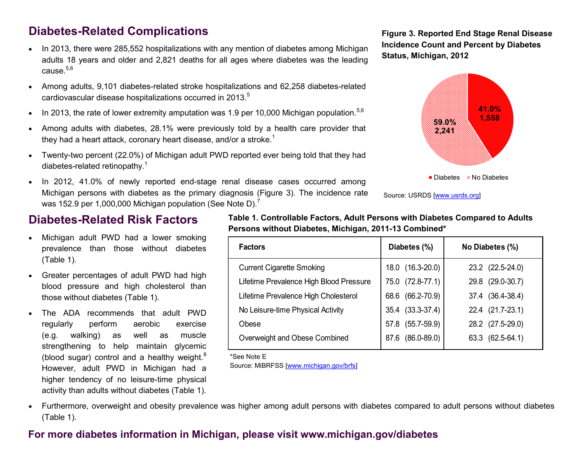# **Diabetes-Related Complications**

- In 2013, there were 285,552 hospitalizations with any mention of diabetes among Michigan adults 18 years and older and 2,821 deaths for all ages where diabetes was the leading cause.<sup>5,6</sup>
- Among adults, 9,101 diabetes-related stroke hospitalizations and 62,258 diabetes-related cardiovascular disease hospitalizations occurred in 2013.<sup>5</sup>
- In 2013, the rate of lower extremity amputation was 1.9 per 10,000 Michigan population.<sup>5,6</sup>
- Among adults with diabetes, 28.1% were previously told by a health care provider that they had a heart attack, coronary heart disease, and/or a stroke.<sup>1</sup>
- Twenty-two percent (22.0%) of Michigan adult PWD reported ever being told that they had diabetes-related retinopathy.<sup>1</sup>
- In 2012, 41.0% of newly reported end-stage renal disease cases occurred among Michigan persons with diabetes as the primary diagnosis (Figure 3). The incidence rate was 152.9 per 1,000,000 Michigan population (See Note D).<sup>7</sup>

**Figure 3. Reported End Stage Renal Disease Incidence Count and Percent by Diabetes Status, Michigan, 2012**



Source: USRDS [\[www.usrds.org\]](http://www.usrds.org)

#### **Diabetes-Related Risk Factors**

- Michigan adult PWD had a lower smoking prevalence than those without diabetes (Table 1).
- Greater percentages of adult PWD had high blood pressure and high cholesterol than those without diabetes (Table 1).
- The ADA recommends that adult PWD regularly perform aerobic exercise (e.g. walking) as well as muscle strengthening to help maintain glycemic (blood sugar) control and a healthy weight. $8$ However, adult PWD in Michigan had a higher tendency of no leisure-time physical activity than adults without diabetes (Table 1).

**Table 1. Controllable Factors, Adult Persons with Diabetes Compared to Adults Persons without Diabetes, Michigan, 2011-13 Combined\***

| <b>Factors</b>                          | Diabetes (%)     | No Diabetes (%)  |
|-----------------------------------------|------------------|------------------|
| <b>Current Cigarette Smoking</b>        | 18.0 (16.3-20.0) | 23.2 (22.5-24.0) |
| Lifetime Prevalence High Blood Pressure | 75.0 (72.8-77.1) | 29.8 (29.0-30.7) |
| Lifetime Prevalence High Cholesterol    | 68.6 (66.2-70.9) | 37.4 (36.4-38.4) |
| No Leisure-time Physical Activity       | 35.4 (33.3-37.4) | 22.4 (21.7-23.1) |
| Obese                                   | 57.8 (55.7-59.9) | 28.2 (27.5-29.0) |
| Overweight and Obese Combined           | 87.6 (86.0-89.0) | 63.3 (62.5-64.1) |

\*See Note E

Source: MiBRFSS [\[www.michigan.gov/brfs\]](http://www.michigan.gov/brfs) 

 Furthermore, overweight and obesity prevalence was higher among adult persons with diabetes compared to adult persons without diabetes (Table 1).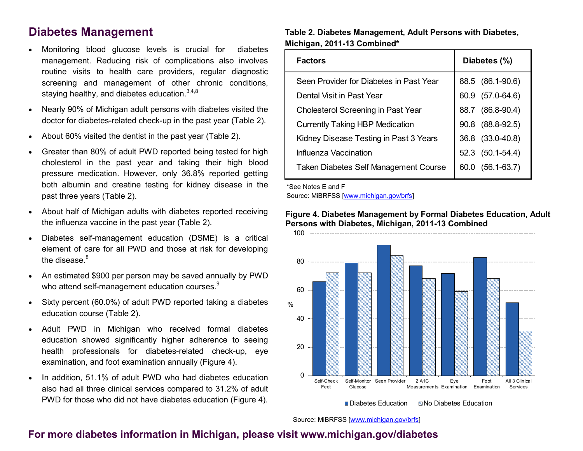### **Diabetes Management**

- Monitoring blood glucose levels is crucial for diabetes management. Reducing risk of complications also involves routine visits to health care providers, regular diagnostic screening and management of other chronic conditions, staying healthy, and diabetes education.  $3,4,8$
- Nearly 90% of Michigan adult persons with diabetes visited the doctor for diabetes-related check-up in the past year (Table 2).
- About 60% visited the dentist in the past year (Table 2).
- Greater than 80% of adult PWD reported being tested for high cholesterol in the past year and taking their high blood pressure medication. However, only 36.8% reported getting both albumin and creatine testing for kidney disease in the past three years (Table 2).
- About half of Michigan adults with diabetes reported receiving the influenza vaccine in the past year (Table 2).
- Diabetes self-management education (DSME) is a critical element of care for all PWD and those at risk for developing the disease. $8<sup>8</sup>$
- An estimated \$900 per person may be saved annually by PWD who attend self-management education courses.<sup>9</sup>
- Sixty percent (60.0%) of adult PWD reported taking a diabetes education course (Table 2).
- Adult PWD in Michigan who received formal diabetes education showed significantly higher adherence to seeing health professionals for diabetes-related check-up, eye examination, and foot examination annually (Figure 4).
- In addition, 51.1% of adult PWD who had diabetes education also had all three clinical services compared to 31.2% of adult PWD for those who did not have diabetes education (Figure 4).

#### **Table 2. Diabetes Management, Adult Persons with Diabetes, Michigan, 2011-13 Combined\***

| <b>Factors</b>                          | Diabetes (%)            |
|-----------------------------------------|-------------------------|
| Seen Provider for Diabetes in Past Year | 88.5 (86.1-90.6)        |
| Dental Visit in Past Year               | $(57.0 - 64.6)$<br>60.9 |
| Cholesterol Screening in Past Year      | $(86.8 - 90.4)$<br>88.7 |
| <b>Currently Taking HBP Medication</b>  | $(88.8 - 92.5)$<br>90.8 |
| Kidney Disease Testing in Past 3 Years  | 36.8 (33.0-40.8)        |
| Influenza Vaccination                   | 52.3 (50.1-54.4)        |
| Taken Diabetes Self Management Course   | $(56.1 - 63.7)$<br>60.0 |

\*See Notes E and F

Source: MiBRFSS [\[www.michigan.gov/brfs\]](http://www.michigan.gov/brfs) 



#### **Figure 4. Diabetes Management by Formal Diabetes Education, Adult Persons with Diabetes, Michigan, 2011-13 Combined**

Source: MiBRFSS [\[www.michigan.gov/brfs\]](http://www.michigan.gov/brfs)